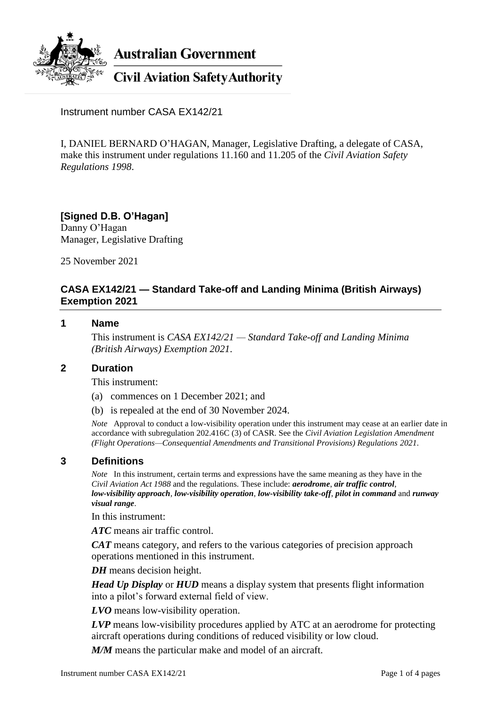

**Australian Government** 

**Civil Aviation Safety Authority** 

Instrument number CASA EX142/21

I, DANIEL BERNARD O'HAGAN, Manager, Legislative Drafting, a delegate of CASA, make this instrument under regulations 11.160 and 11.205 of the *Civil Aviation Safety Regulations 1998*.

### **[Signed D.B. O'Hagan]** Danny O'Hagan

Manager, Legislative Drafting

25 November 2021

# **CASA EX142/21 — Standard Take-off and Landing Minima (British Airways) Exemption 2021**

### **1 Name**

This instrument is *CASA EX142/21 — Standard Take-off and Landing Minima (British Airways) Exemption 2021*.

### **2 Duration**

This instrument:

- (a) commences on 1 December 2021; and
- (b) is repealed at the end of 30 November 2024.

*Note* Approval to conduct a low-visibility operation under this instrument may cease at an earlier date in accordance with subregulation 202.416C (3) of CASR. See the *Civil Aviation Legislation Amendment (Flight Operations—Consequential Amendments and Transitional Provisions) Regulations 2021*.

## **3 Definitions**

*Note* In this instrument, certain terms and expressions have the same meaning as they have in the *Civil Aviation Act 1988* and the regulations. These include: *aerodrome*, *air traffic control*, *low-visibility approach*, *low-visibility operation*, *low-visibility take-off*, *pilot in command* and *runway visual range*.

In this instrument:

*ATC* means air traffic control.

*CAT* means category, and refers to the various categories of precision approach operations mentioned in this instrument.

*DH* means decision height.

*Head Up Display* or *HUD* means a display system that presents flight information into a pilot's forward external field of view.

*LVO* means low-visibility operation.

*LVP* means low-visibility procedures applied by ATC at an aerodrome for protecting aircraft operations during conditions of reduced visibility or low cloud.

*M/M* means the particular make and model of an aircraft.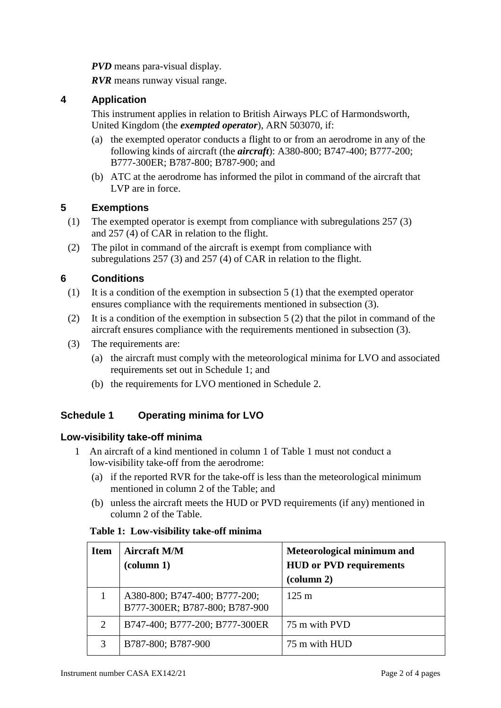*PVD* means para-visual display.

*RVR* means runway visual range.

# **4 Application**

This instrument applies in relation to British Airways PLC of Harmondsworth, United Kingdom (the *exempted operator*), ARN 503070, if:

- (a) the exempted operator conducts a flight to or from an aerodrome in any of the following kinds of aircraft (the *aircraft*): A380-800; B747-400; B777-200; B777-300ER; B787-800; B787-900; and
- (b) ATC at the aerodrome has informed the pilot in command of the aircraft that LVP are in force.

# **5 Exemptions**

- (1) The exempted operator is exempt from compliance with subregulations 257 (3) and 257 (4) of CAR in relation to the flight.
- (2) The pilot in command of the aircraft is exempt from compliance with subregulations 257 (3) and 257 (4) of CAR in relation to the flight.

# **6 Conditions**

- (1) It is a condition of the exemption in subsection 5 (1) that the exempted operator ensures compliance with the requirements mentioned in subsection (3).
- (2) It is a condition of the exemption in subsection 5 (2) that the pilot in command of the aircraft ensures compliance with the requirements mentioned in subsection (3).
- (3) The requirements are:
	- (a) the aircraft must comply with the meteorological minima for LVO and associated requirements set out in Schedule 1; and
	- (b) the requirements for LVO mentioned in Schedule 2.

# **Schedule 1 Operating minima for LVO**

## **Low-visibility take-off minima**

- 1 An aircraft of a kind mentioned in column 1 of Table 1 must not conduct a low-visibility take-off from the aerodrome:
	- (a) if the reported RVR for the take-off is less than the meteorological minimum mentioned in column 2 of the Table; and
	- (b) unless the aircraft meets the HUD or PVD requirements (if any) mentioned in column 2 of the Table.

### **Table 1: Low-visibility take-off minima**

| <b>Item</b> | <b>Aircraft M/M</b><br>$\left(\text{column } 1\right)$          | Meteorological minimum and<br><b>HUD or PVD requirements</b><br>$\left(\text{column } 2\right)$ |
|-------------|-----------------------------------------------------------------|-------------------------------------------------------------------------------------------------|
|             | A380-800; B747-400; B777-200;<br>B777-300ER; B787-800; B787-900 | $125 \text{ m}$                                                                                 |
| 2           | B747-400; B777-200; B777-300ER                                  | 75 m with PVD                                                                                   |
| 3           | B787-800; B787-900                                              | 75 m with HUD                                                                                   |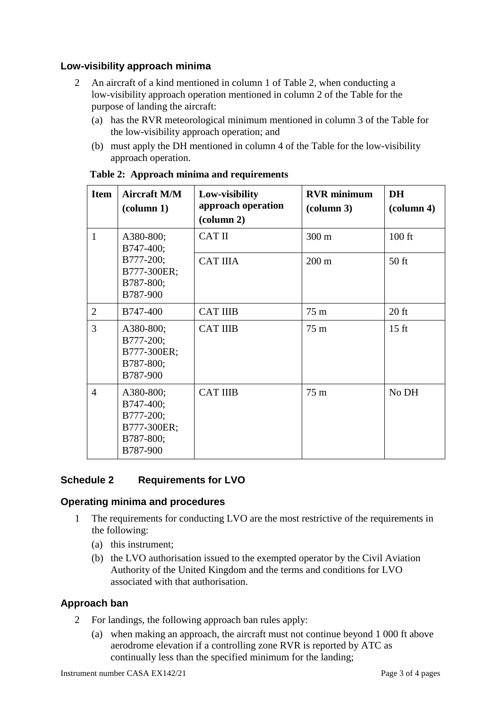# **Low-visibility approach minima**

- 2 An aircraft of a kind mentioned in column 1 of Table 2, when conducting a low-visibility approach operation mentioned in column 2 of the Table for the purpose of landing the aircraft:
	- (a) has the RVR meteorological minimum mentioned in column 3 of the Table for the low-visibility approach operation; and
	- (b) must apply the DH mentioned in column 4 of the Table for the low-visibility approach operation.

| <b>Item</b>    | <b>Aircraft M/M</b><br>$\left(\text{column } 1\right)$                      | Low-visibility<br>approach operation<br>$\left(\text{column } 2\right)$ | <b>RVR</b> minimum<br>$\left(\text{column }3\right)$ | <b>DH</b><br>$\text{(column 4)}$ |
|----------------|-----------------------------------------------------------------------------|-------------------------------------------------------------------------|------------------------------------------------------|----------------------------------|
| $\mathbf{1}$   | A380-800;<br>B747-400;                                                      | <b>CAT II</b>                                                           | $300 \text{ m}$                                      | $100$ ft                         |
|                | B777-200;<br>B777-300ER;<br>B787-800;<br>B787-900                           | <b>CAT IIIA</b>                                                         | $200 \text{ m}$                                      | $50$ ft                          |
| $\overline{2}$ | B747-400                                                                    | <b>CAT IIIB</b>                                                         | 75 m                                                 | $20$ ft                          |
| 3              | A380-800;<br>B777-200;<br>B777-300ER;<br>B787-800;<br>B787-900              | <b>CAT IIIB</b>                                                         | $75 \text{ m}$                                       | $15 \text{ ft}$                  |
| $\overline{4}$ | A380-800;<br>B747-400;<br>B777-200;<br>B777-300ER;<br>B787-800;<br>B787-900 | <b>CAT IIIB</b>                                                         | 75 m                                                 | No DH                            |

#### **Table 2: Approach minima and requirements**

## **Schedule 2 Requirements for LVO**

### **Operating minima and procedures**

- 1 The requirements for conducting LVO are the most restrictive of the requirements in the following:
	- (a) this instrument;
	- (b) the LVO authorisation issued to the exempted operator by the Civil Aviation Authority of the United Kingdom and the terms and conditions for LVO associated with that authorisation.

## **Approach ban**

- 2 For landings, the following approach ban rules apply:
	- (a) when making an approach, the aircraft must not continue beyond 1 000 ft above aerodrome elevation if a controlling zone RVR is reported by ATC as continually less than the specified minimum for the landing;